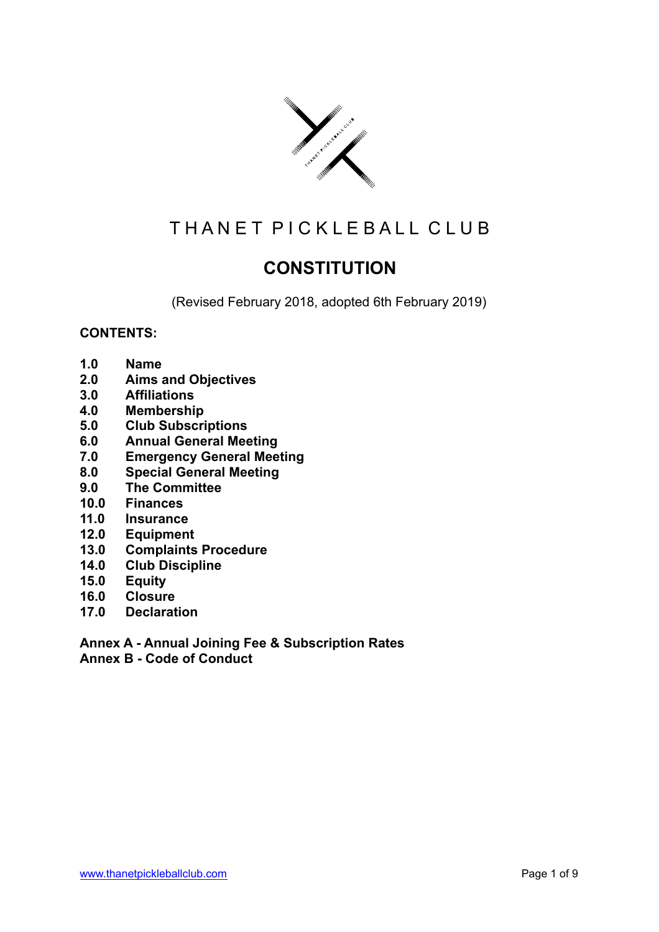

# THAN ET PICKLEBALL CLUB

# **CONSTITUTION**

(Revised February 2018, adopted 6th February 2019)

# **CONTENTS:**

- **1.0 Name**
- **2.0 Aims and Objectives**
- **3.0 Affiliations**
- **4.0 Membership**
- **5.0 Club Subscriptions**
- **6.0 Annual General Meeting**
- **7.0 Emergency General Meeting**
- **8.0 Special General Meeting**
- **9.0 The Committee**
- **10.0 Finances**
- **11.0 Insurance**
- **12.0 Equipment**
- **13.0 Complaints Procedure**
- **14.0 Club Discipline**
- **15.0 Equity**
- **16.0 Closure**
- **17.0 Declaration**

**Annex A - Annual Joining Fee & Subscription Rates Annex B - Code of Conduct**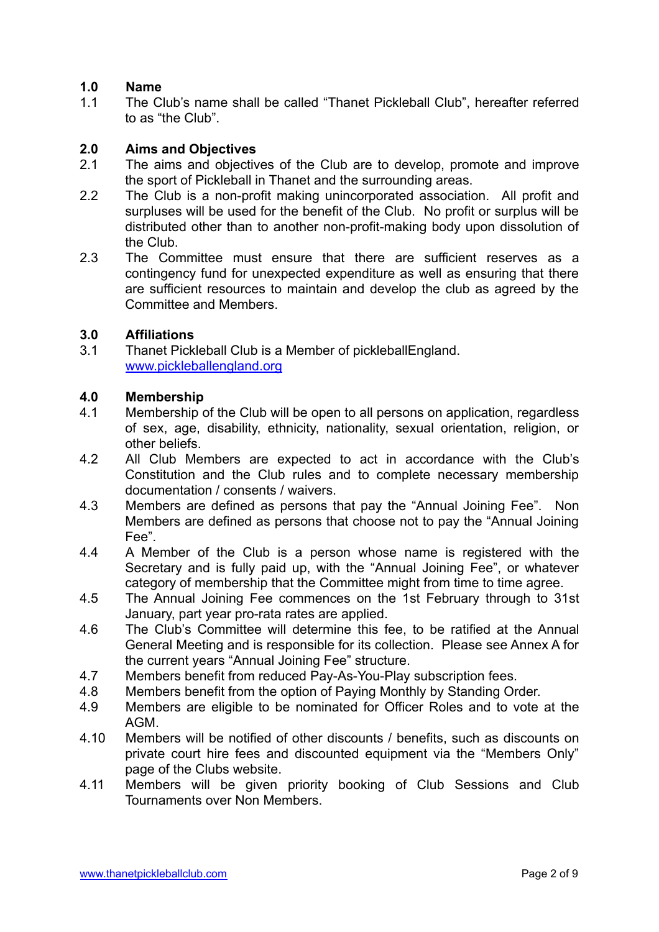# **1.0 Name**

1.1 The Club's name shall be called "Thanet Pickleball Club", hereafter referred to as "the Club".

# **2.0 Aims and Objectives**

- 2.1 The aims and objectives of the Club are to develop, promote and improve the sport of Pickleball in Thanet and the surrounding areas.
- 2.2 The Club is a non-profit making unincorporated association. All profit and surpluses will be used for the benefit of the Club. No profit or surplus will be distributed other than to another non-profit-making body upon dissolution of the Club.
- 2.3 The Committee must ensure that there are sufficient reserves as a contingency fund for unexpected expenditure as well as ensuring that there are sufficient resources to maintain and develop the club as agreed by the Committee and Members.

# **3.0 Affiliations**

3.1 Thanet Pickleball Club is a Member of pickleballEngland. [www.pickleballengland.org](http://www.pickleballengland.org)

# **4.0 Membership**

- 4.1 Membership of the Club will be open to all persons on application, regardless of sex, age, disability, ethnicity, nationality, sexual orientation, religion, or other beliefs.
- 4.2 All Club Members are expected to act in accordance with the Club's Constitution and the Club rules and to complete necessary membership documentation / consents / waivers.
- 4.3 Members are defined as persons that pay the "Annual Joining Fee". Non Members are defined as persons that choose not to pay the "Annual Joining Fee".
- 4.4 A Member of the Club is a person whose name is registered with the Secretary and is fully paid up, with the "Annual Joining Fee", or whatever category of membership that the Committee might from time to time agree.
- 4.5 The Annual Joining Fee commences on the 1st February through to 31st January, part year pro-rata rates are applied.
- 4.6 The Club's Committee will determine this fee, to be ratified at the Annual General Meeting and is responsible for its collection. Please see Annex A for the current years "Annual Joining Fee" structure.
- 4.7 Members benefit from reduced Pay-As-You-Play subscription fees.
- 4.8 Members benefit from the option of Paying Monthly by Standing Order.
- 4.9 Members are eligible to be nominated for Officer Roles and to vote at the AGM.
- 4.10 Members will be notified of other discounts / benefits, such as discounts on private court hire fees and discounted equipment via the "Members Only" page of the Clubs website.
- 4.11 Members will be given priority booking of Club Sessions and Club Tournaments over Non Members.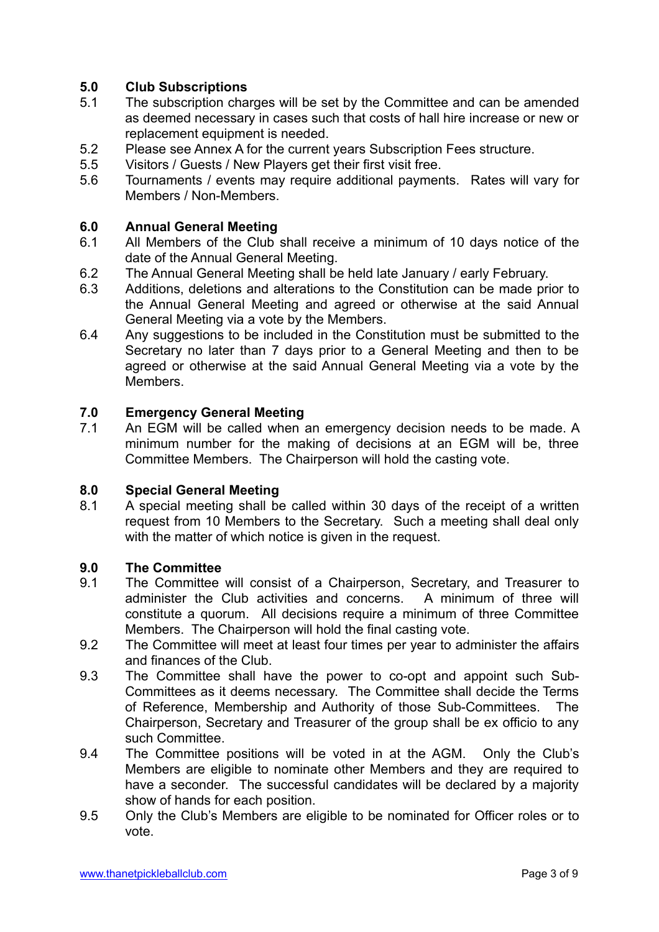# **5.0 Club Subscriptions**

- 5.1 The subscription charges will be set by the Committee and can be amended as deemed necessary in cases such that costs of hall hire increase or new or replacement equipment is needed.
- 5.2 Please see Annex A for the current years Subscription Fees structure.
- 5.5 Visitors / Guests / New Players get their first visit free.
- 5.6 Tournaments / events may require additional payments. Rates will vary for Members / Non-Members.

# **6.0 Annual General Meeting**

- 6.1 All Members of the Club shall receive a minimum of 10 days notice of the date of the Annual General Meeting.
- 6.2 The Annual General Meeting shall be held late January / early February.
- 6.3 Additions, deletions and alterations to the Constitution can be made prior to the Annual General Meeting and agreed or otherwise at the said Annual General Meeting via a vote by the Members.
- 6.4 Any suggestions to be included in the Constitution must be submitted to the Secretary no later than 7 days prior to a General Meeting and then to be agreed or otherwise at the said Annual General Meeting via a vote by the Members.

#### **7.0 Emergency General Meeting**

7.1 An EGM will be called when an emergency decision needs to be made. A minimum number for the making of decisions at an EGM will be, three Committee Members. The Chairperson will hold the casting vote.

#### **8.0 Special General Meeting**

8.1 A special meeting shall be called within 30 days of the receipt of a written request from 10 Members to the Secretary. Such a meeting shall deal only with the matter of which notice is given in the request.

#### **9.0 The Committee**

- 9.1 The Committee will consist of a Chairperson, Secretary, and Treasurer to administer the Club activities and concerns. A minimum of three will constitute a quorum. All decisions require a minimum of three Committee Members. The Chairperson will hold the final casting vote.
- 9.2 The Committee will meet at least four times per year to administer the affairs and finances of the Club.
- 9.3 The Committee shall have the power to co-opt and appoint such Sub-Committees as it deems necessary. The Committee shall decide the Terms of Reference, Membership and Authority of those Sub-Committees. The Chairperson, Secretary and Treasurer of the group shall be ex officio to any such Committee.
- 9.4 The Committee positions will be voted in at the AGM. Only the Club's Members are eligible to nominate other Members and they are required to have a seconder. The successful candidates will be declared by a majority show of hands for each position.
- 9.5 Only the Club's Members are eligible to be nominated for Officer roles or to vote.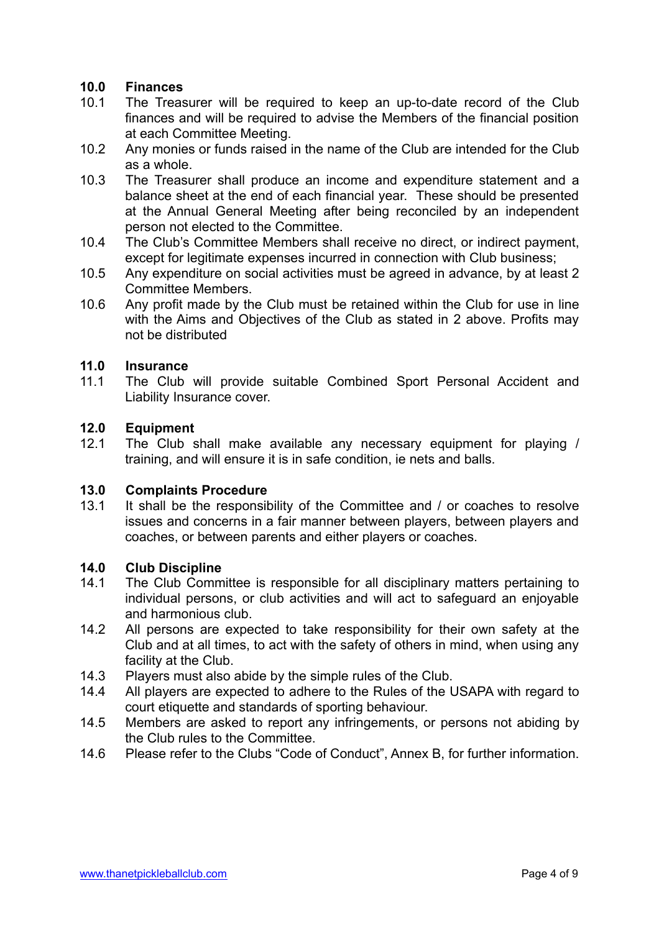# **10.0 Finances**

- 10.1 The Treasurer will be required to keep an up-to-date record of the Club finances and will be required to advise the Members of the financial position at each Committee Meeting.
- 10.2 Any monies or funds raised in the name of the Club are intended for the Club as a whole.
- 10.3 The Treasurer shall produce an income and expenditure statement and a balance sheet at the end of each financial year. These should be presented at the Annual General Meeting after being reconciled by an independent person not elected to the Committee.
- 10.4 The Club's Committee Members shall receive no direct, or indirect payment, except for legitimate expenses incurred in connection with Club business;
- 10.5 Any expenditure on social activities must be agreed in advance, by at least 2 Committee Members.
- 10.6 Any profit made by the Club must be retained within the Club for use in line with the Aims and Objectives of the Club as stated in 2 above. Profits may not be distributed

# **11.0 Insurance**

11.1 The Club will provide suitable Combined Sport Personal Accident and Liability Insurance cover.

#### **12.0 Equipment**

12.1 The Club shall make available any necessary equipment for playing / training, and will ensure it is in safe condition, ie nets and balls.

# **13.0 Complaints Procedure**

13.1 It shall be the responsibility of the Committee and / or coaches to resolve issues and concerns in a fair manner between players, between players and coaches, or between parents and either players or coaches.

# **14.0 Club Discipline**

- 14.1 The Club Committee is responsible for all disciplinary matters pertaining to individual persons, or club activities and will act to safeguard an enjoyable and harmonious club.
- 14.2 All persons are expected to take responsibility for their own safety at the Club and at all times, to act with the safety of others in mind, when using any facility at the Club.
- 14.3 Players must also abide by the simple rules of the Club.
- 14.4 All players are expected to adhere to the Rules of the USAPA with regard to court etiquette and standards of sporting behaviour.
- 14.5 Members are asked to report any infringements, or persons not abiding by the Club rules to the Committee.
- 14.6 Please refer to the Clubs "Code of Conduct", Annex B, for further information.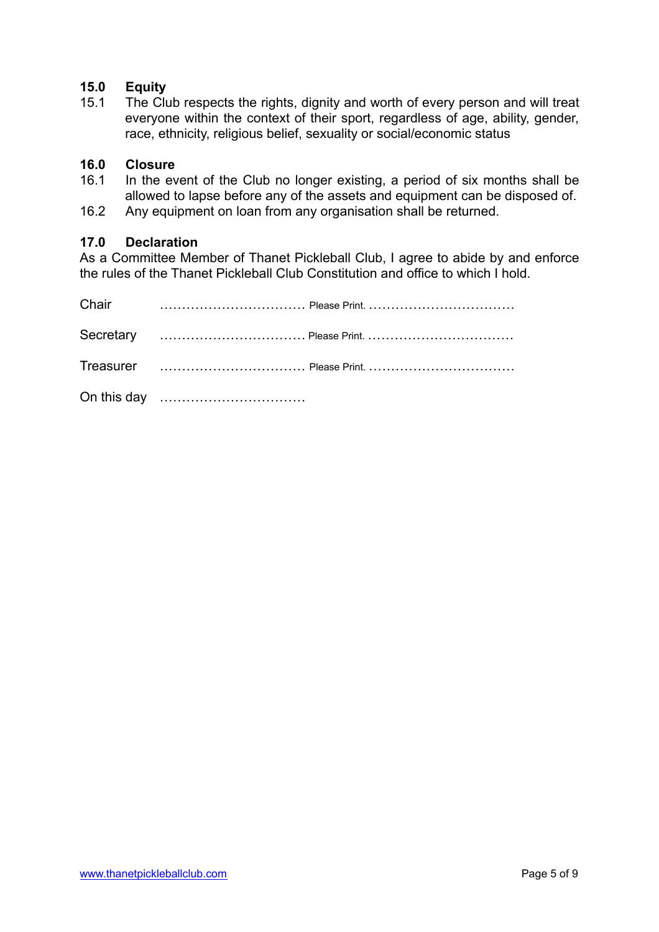# **15.0 Equity**

15.1 The Club respects the rights, dignity and worth of every person and will treat everyone within the context of their sport, regardless of age, ability, gender, race, ethnicity, religious belief, sexuality or social/economic status

# **16.0 Closure**

- 16.1 In the event of the Club no longer existing, a period of six months shall be allowed to lapse before any of the assets and equipment can be disposed of.
- 16.2 Any equipment on loan from any organisation shall be returned.

#### **17.0 Declaration**

As a Committee Member of Thanet Pickleball Club, I agree to abide by and enforce the rules of the Thanet Pickleball Club Constitution and office to which I hold.

| Chair |  |
|-------|--|
|       |  |
|       |  |
|       |  |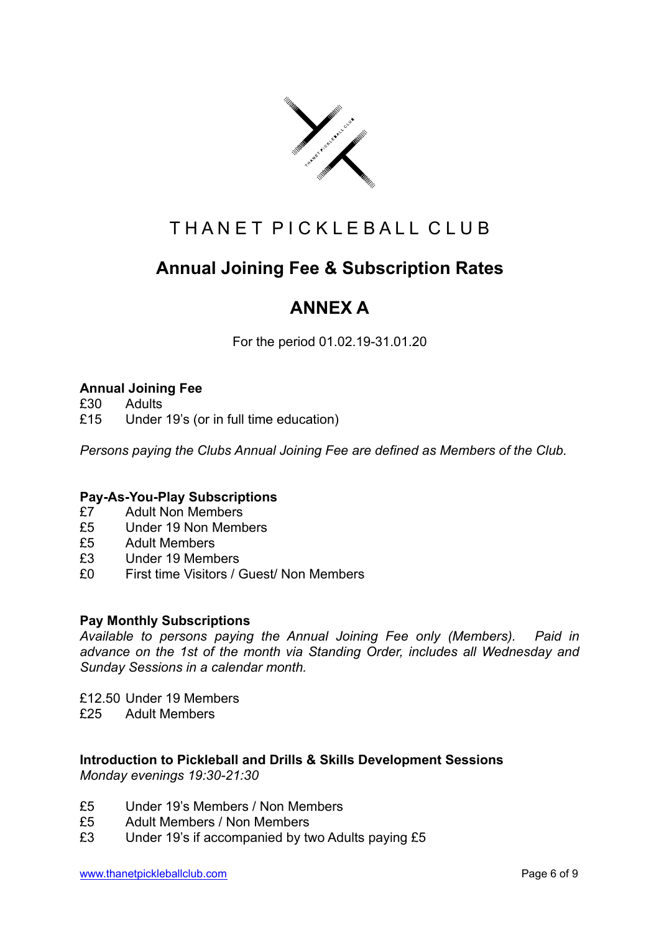

# THAN ET PICKLEBALL CLUB

# **Annual Joining Fee & Subscription Rates**

# **ANNEX A**

For the period 01.02.19-31.01.20

# **Annual Joining Fee**

- £30 Adults
- £15 Under 19's (or in full time education)

*Persons paying the Clubs Annual Joining Fee are defined as Members of the Club.* 

# **Pay-As-You-Play Subscriptions**

- £7 Adult Non Members
- £5 Under 19 Non Members
- £5 Adult Members
- £3 Under 19 Members
- £0 First time Visitors / Guest/ Non Members

# **Pay Monthly Subscriptions**

*Available to persons paying the Annual Joining Fee only (Members). Paid in advance on the 1st of the month via Standing Order, includes all Wednesday and Sunday Sessions in a calendar month.* 

£12.50 Under 19 Members

£25 Adult Members

#### **Introduction to Pickleball and Drills & Skills Development Sessions**  *Monday evenings 19:30-21:30*

- £5 Under 19's Members / Non Members
- £5 Adult Members / Non Members
- £3 Under 19's if accompanied by two Adults paying £5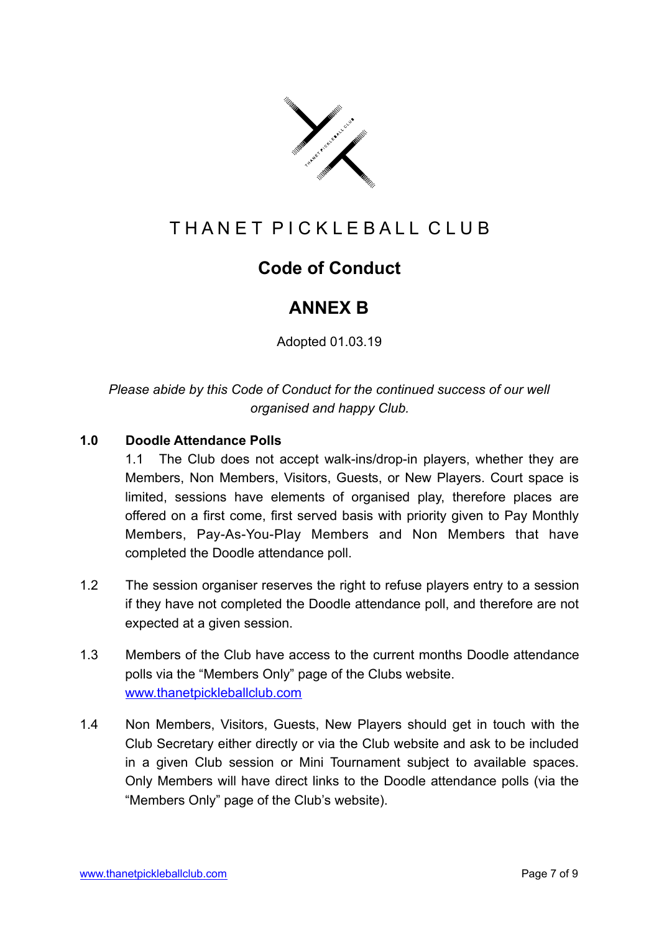

# T H A N E T P I C K L E B A L L C L U B

# **Code of Conduct**

# **ANNEX B**

Adopted 01.03.19

*Please abide by this Code of Conduct for the continued success of our well organised and happy Club.* 

# **1.0 Doodle Attendance Polls**

1.1 The Club does not accept walk-ins/drop-in players, whether they are Members, Non Members, Visitors, Guests, or New Players. Court space is limited, sessions have elements of organised play, therefore places are offered on a first come, first served basis with priority given to Pay Monthly Members, Pay-As-You-Play Members and Non Members that have completed the Doodle attendance poll.

- 1.2 The session organiser reserves the right to refuse players entry to a session if they have not completed the Doodle attendance poll, and therefore are not expected at a given session.
- 1.3 Members of the Club have access to the current months Doodle attendance polls via the "Members Only" page of the Clubs website. [www.thanetpickleballclub.com](http://www.thanetpickleballclub.com)
- 1.4 Non Members, Visitors, Guests, New Players should get in touch with the Club Secretary either directly or via the Club website and ask to be included in a given Club session or Mini Tournament subject to available spaces. Only Members will have direct links to the Doodle attendance polls (via the "Members Only" page of the Club's website).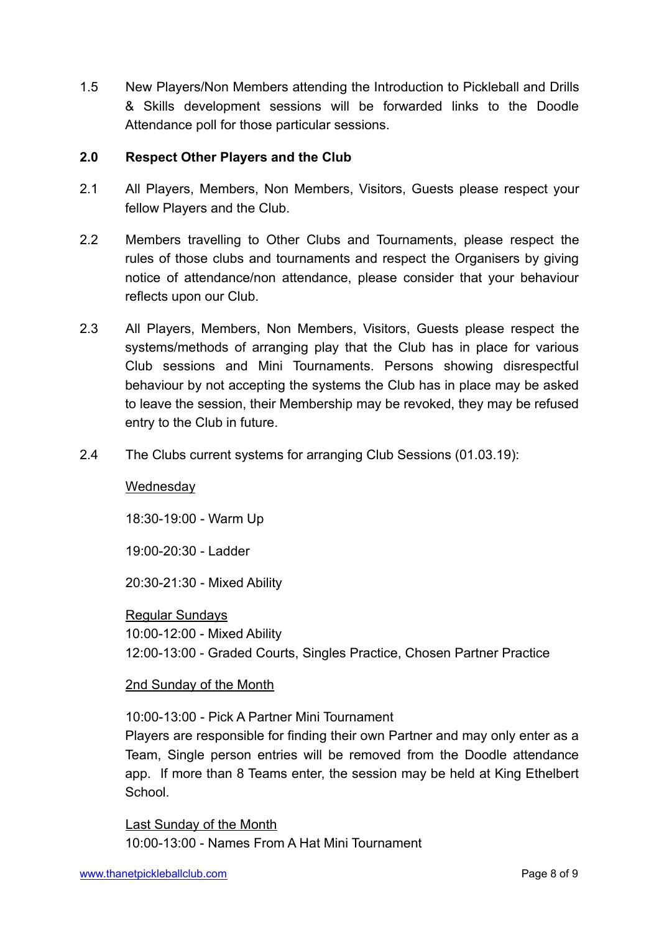1.5 New Players/Non Members attending the Introduction to Pickleball and Drills & Skills development sessions will be forwarded links to the Doodle Attendance poll for those particular sessions.

# **2.0 Respect Other Players and the Club**

- 2.1 All Players, Members, Non Members, Visitors, Guests please respect your fellow Players and the Club.
- 2.2 Members travelling to Other Clubs and Tournaments, please respect the rules of those clubs and tournaments and respect the Organisers by giving notice of attendance/non attendance, please consider that your behaviour reflects upon our Club.
- 2.3 All Players, Members, Non Members, Visitors, Guests please respect the systems/methods of arranging play that the Club has in place for various Club sessions and Mini Tournaments. Persons showing disrespectful behaviour by not accepting the systems the Club has in place may be asked to leave the session, their Membership may be revoked, they may be refused entry to the Club in future.
- 2.4 The Clubs current systems for arranging Club Sessions (01.03.19):

# **Wednesday**

18:30-19:00 - Warm Up

19:00-20:30 - Ladder

20:30-21:30 - Mixed Ability

Regular Sundays 10:00-12:00 - Mixed Ability 12:00-13:00 - Graded Courts, Singles Practice, Chosen Partner Practice

# 2nd Sunday of the Month

10:00-13:00 - Pick A Partner Mini Tournament

Players are responsible for finding their own Partner and may only enter as a Team, Single person entries will be removed from the Doodle attendance app. If more than 8 Teams enter, the session may be held at King Ethelbert **School** 

Last Sunday of the Month 10:00-13:00 - Names From A Hat Mini Tournament